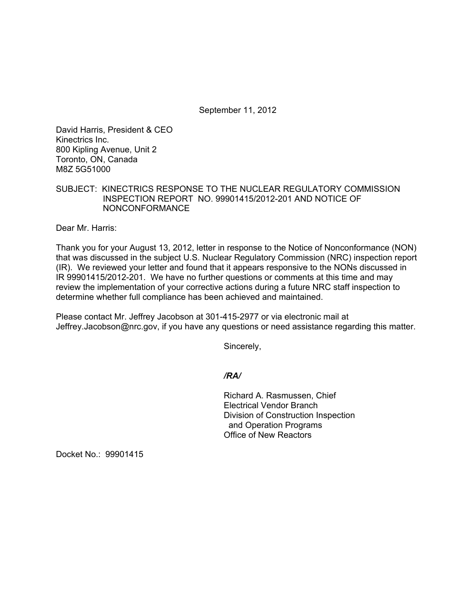September 11, 2012

David Harris, President & CEO Kinectrics Inc. 800 Kipling Avenue, Unit 2 Toronto, ON, Canada M8Z 5G51000

## SUBJECT: KINECTRICS RESPONSE TO THE NUCLEAR REGULATORY COMMISSION INSPECTION REPORT NO. 99901415/2012-201 AND NOTICE OF NONCONFORMANCE

Dear Mr. Harris:

Thank you for your August 13, 2012, letter in response to the Notice of Nonconformance (NON) that was discussed in the subject U.S. Nuclear Regulatory Commission (NRC) inspection report (IR). We reviewed your letter and found that it appears responsive to the NONs discussed in IR 99901415/2012-201. We have no further questions or comments at this time and may review the implementation of your corrective actions during a future NRC staff inspection to determine whether full compliance has been achieved and maintained.

Please contact Mr. Jeffrey Jacobson at 301-415-2977 or via electronic mail at Jeffrey.Jacobson@nrc.gov, if you have any questions or need assistance regarding this matter.

Sincerely,

## */RA/*

Richard A. Rasmussen, Chief Electrical Vendor Branch Division of Construction Inspection and Operation Programs Office of New Reactors

Docket No.: 99901415